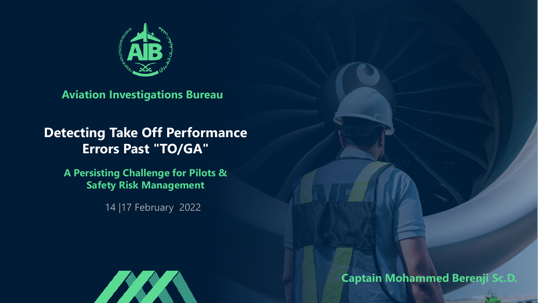

**Aviation Investigations Bureau**

#### **Detecting Take Off Performance Errors Past "TO/GA"**

**A Persisting Challenge for Pilots & Safety Risk Management**

14 |17 February 2022



**Captain Mohammed Berenji Sc.D.**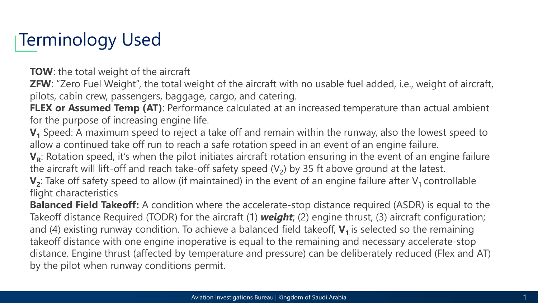## Terminology Used

**TOW**: the total weight of the aircraft

**ZFW**: "Zero Fuel Weight", the total weight of the aircraft with no usable fuel added, i.e., weight of aircraft, pilots, cabin crew, passengers, baggage, cargo, and catering.

**FLEX or Assumed Temp (AT)**: Performance calculated at an increased temperature than actual ambient for the purpose of increasing engine life.

**V1** Speed: A maximum speed to reject a take off and remain within the runway, also the lowest speed to allow a continued take off run to reach a safe rotation speed in an event of an engine failure.

V<sub>R</sub>: Rotation speed, it's when the pilot initiates aircraft rotation ensuring in the event of an engine failure the aircraft will lift-off and reach take-off safety speed  $(V_2)$  by 35 ft above ground at the latest.

 $V_2$ : Take off safety speed to allow (if maintained) in the event of an engine failure after  $V_1$  controllable flight characteristics

**Balanced Field Takeoff:** A condition where the accelerate-stop distance required (ASDR) is equal to the Takeoff distance Required (TODR) for the aircraft (1) *weight*; (2) engine thrust, (3) aircraft configuration; and (4) existing runway condition. To achieve a balanced field takeoff,  $V_1$  is selected so the remaining takeoff distance with one engine inoperative is equal to the remaining and necessary accelerate-stop distance. Engine thrust (affected by temperature and pressure) can be deliberately reduced (Flex and AT) by the pilot when runway conditions permit.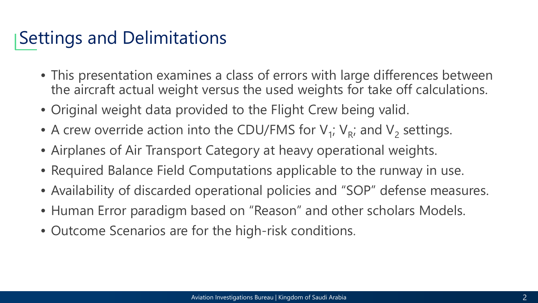#### Settings and Delimitations

- This presentation examines a class of errors with large differences between the aircraft actual weight versus the used weights for take off calculations.
- Original weight data provided to the Flight Crew being valid.
- A crew override action into the CDU/FMS for  $V_1$ ;  $V_R$ ; and  $V_2$  settings.
- Airplanes of Air Transport Category at heavy operational weights.
- Required Balance Field Computations applicable to the runway in use.
- Availability of discarded operational policies and "SOP" defense measures.
- Human Error paradigm based on "Reason" and other scholars Models.
- Outcome Scenarios are for the high-risk conditions.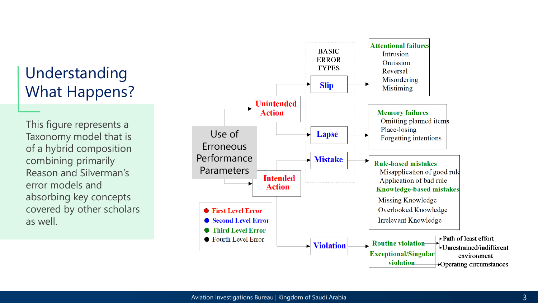#### Understanding What Happens?

This figure represents a Taxonomy model that is of a hybrid composition combining primarily Reason and Silverman 's error models and absorbing key concepts covered by other scholars as well.

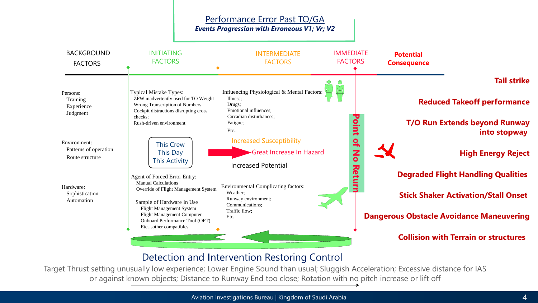

#### Detection and **I**ntervention Restoring Control

Target Thrust setting unusually low experience; Lower Engine Sound than usual; Sluggish Acceleration; Excessive distance for IAS or against known objects; Distance to Runway End too close; Rotation with no pitch increase or lift off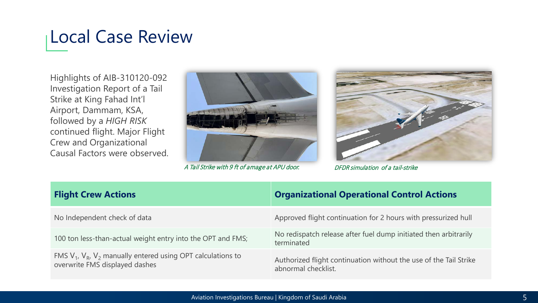### Local Case Review

Highlights of AIB-310120-092 Investigation Report of a Tail Strike at King Fahad Int'l Airport, Dammam, KSA, followed by a *HIGH RISK* continued flight. Major Flight Crew and Organizational Causal Factors were observed.



A Tail Strike with 9 ft of amage at APU door. DFDR simulation of a tail-strike



| <b>Flight Crew Actions</b>                                                                             | <b>Organizational Operational Control Actions</b>                                        |
|--------------------------------------------------------------------------------------------------------|------------------------------------------------------------------------------------------|
| No Independent check of data                                                                           | Approved flight continuation for 2 hours with pressurized hull                           |
| 100 ton less-than-actual weight entry into the OPT and FMS;                                            | No redispatch release after fuel dump initiated then arbitrarily<br>terminated           |
| FMS $V_1$ , $V_R$ , $V_2$ manually entered using OPT calculations to<br>overwrite FMS displayed dashes | Authorized flight continuation without the use of the Tail Strike<br>abnormal checklist. |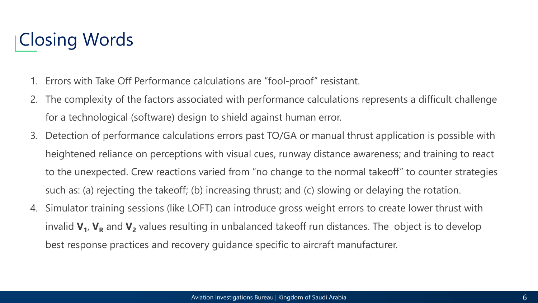### Closing Words

- 1. Errors with Take Off Performance calculations are "fool-proof" resistant.
- 2. The complexity of the factors associated with performance calculations represents a difficult challenge for a technological (software) design to shield against human error.
- 3. Detection of performance calculations errors past TO/GA or manual thrust application is possible with heightened reliance on perceptions with visual cues, runway distance awareness; and training to react to the unexpected. Crew reactions varied from "no change to the normal takeoff" to counter strategies such as: (a) rejecting the takeoff; (b) increasing thrust; and (c) slowing or delaying the rotation.
- 4. Simulator training sessions (like LOFT) can introduce gross weight errors to create lower thrust with invalid  $V_1$ ,  $V_R$  and  $V_2$  values resulting in unbalanced takeoff run distances. The object is to develop best response practices and recovery guidance specific to aircraft manufacturer.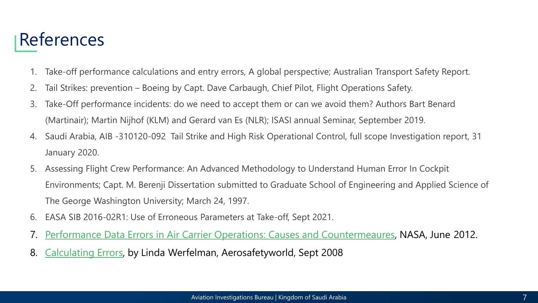#### References

- 1. Take-off performance calculations and entry errors, A global perspective; Australian Transport Safety Report.
- 2. Tail Strikes: prevention Boeing by Capt. Dave Carbaugh, Chief Pilot, Flight Operations Safety.
- 3. Take-Off performance incidents: do we need to accept them or can we avoid them? Authors Bart Benard (Martinair); Martin Nijhof (KLM) and Gerard van Es (NLR); ISASI annual Seminar, September 2019.
- 4. Saudi Arabia, AIB -310120-092 Tail Strike and High Risk Operational Control, full scope Investigation report, 31 January 2020.
- 5. Assessing Flight Crew Performance: An Advanced Methodology to Understand Human Error In Cockpit Environments; Capt. M. Berenji Dissertation submitted to Graduate School of Engineering and Applied Science of The George Washington University; March 24, 1997.
- 6. EASA SIB 2016-02R1: Use of Erroneous Parameters at Take-off, Sept 2021.
- 7. [Performance Data Errors in Air Carrier Operations: Causes and Countermeaures,](https://skybrary.aero/bookshelf/books/2481.pdf) NASA, June 2012.
- 8. [Calculating Errors](https://skybrary.aero/bookshelf/books/669.pdf), by Linda Werfelman, Aerosafetyworld, Sept 2008